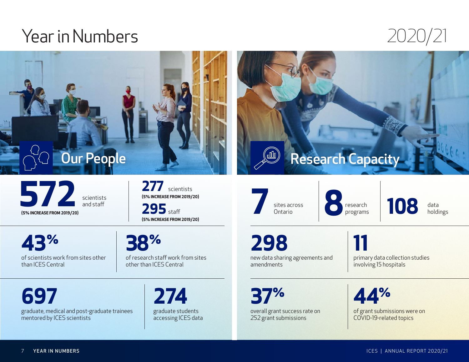## Year in Numbers 2020/21



**572** scientists and staff **(5% INCREASE FROM 2019/20)**

277 scientists **(5% INCREASE FROM 2019/20)**

295<sub>staff</sub> **(5% INCREASE FROM 2019/20)**

**43%** of scientists work from sites other than ICES Central

graduate, medical and post-graduate trainees

**38%** of research staff work from sites

other than ICES Central

**274** graduate students accessing ICES data **7** sites across<br>Ontario

sites across<br>Ontario **8** research<br>programs

research **108** data

holdings

**298** new data sharing agreements and amendments

**11** primary data collection studies involving 15 hospitals

**37%** overall grant success rate on

252 grant submissions

**44%** of grant submissions were on COVID-19-related topics

YEAR IN NUMBERS

mentored by ICES scientists

**697**